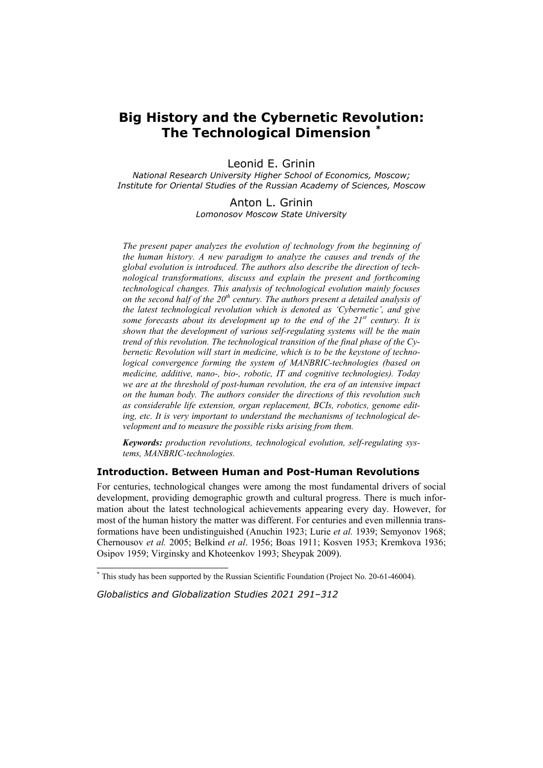# **Big History and the Cybernetic Revolution: The Technological Dimension \***

Leonid E. Grinin

*National Research University Higher School of Economics, Moscow; Institute for Oriental Studies of the Russian Academy of Sciences, Moscow* 

> Anton L. Grinin *Lomonosov Moscow State University*

*The present paper analyzes the evolution of technology from the beginning of the human history. A new paradigm to analyze the causes and trends of the global evolution is introduced. The authors also describe the direction of technological transformations, discuss and explain the present and forthcoming technological changes. This analysis of technological evolution mainly focuses on the second half of the 20th century. The authors present a detailed analysis of the latest technological revolution which is denoted as 'Сybernetic', and give some forecasts about its development up to the end of the 21st century. It is shown that the development of various self-regulating systems will be the main trend of this revolution. The technological transition of the final phase of the Cybernetic Revolution will start in medicine, which is to be the keystone of technological convergence forming the system of MANBRIC-technologies (based on medicine, additive, nano-, bio-, robotic, IT and cognitive technologies). Today we are at the threshold of post-human revolution, the era of an intensive impact on the human body. The authors consider the directions of this revolution such as considerable life extension, organ replacement, BCIs, robotics, genome editing, etc. It is very important to understand the mechanisms of technological development and to measure the possible risks arising from them.* 

*Keywords: production revolutions, technological evolution, self-regulating systems, MANBRIC-technologies.* 

# **Introduction. Between Human and Post-Human Revolutions**

For centuries, technological changes were among the most fundamental drivers of social development, providing demographic growth and cultural progress. There is much information about the latest technological achievements appearing every day. However, for most of the human history the matter was different. For centuries and even millennia transformations have been undistinguished (Anuchin 1923; Lurie *et al.* 1939; Semyonov 1968; Chernousov *et al.* 2005; Belkind *et al*. 1956; Boas 1911; Kosven 1953; Kremkova 1936; Osipov 1959; Virginsky and Khoteenkov 1993; Sheypak 2009).

*Globalistics and Globalization Studies 2021 291–312*

 \* This study has been supported by the Russian Scientific Foundation (Project No. 20-61-46004).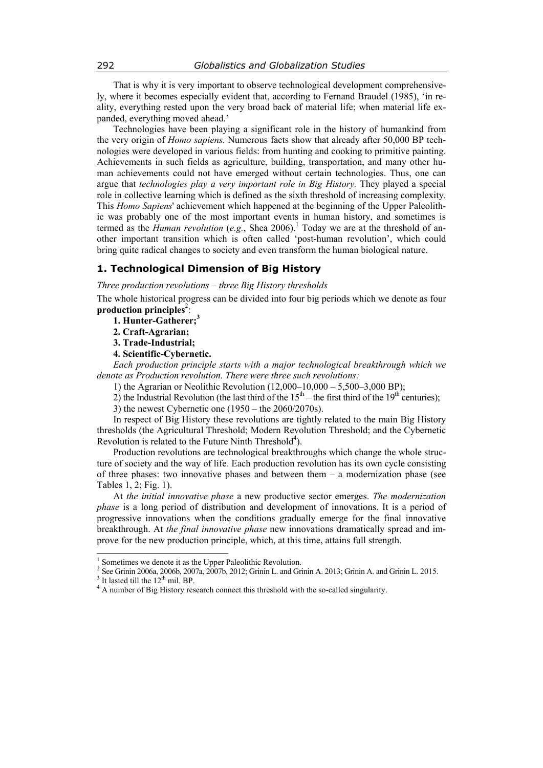That is why it is very important to observe technological development comprehensively, where it becomes especially evident that, according to Fernand Braudel (1985), 'in reality, everything rested upon the very broad back of material life; when material life expanded, everything moved ahead.'

Technologies have been playing a significant role in the history of humankind from the very origin of *Homo sapiens.* Numerous facts show that already after 50,000 BP technologies were developed in various fields: from hunting and cooking to primitive painting. Achievements in such fields as agriculture, building, transportation, and many other human achievements could not have emerged without certain technologies. Thus, one can argue that *technologies play a very important role in Big History.* They played a special role in collective learning which is defined as the sixth threshold of increasing complexity. This *Homo Sapiens*' achievement which happened at the beginning of the Upper Paleolithic was probably one of the most important events in human history, and sometimes is termed as the *Human revolution* (*e.g.*, Shea 2006).<sup>1</sup> Today we are at the threshold of another important transition which is often called 'post-human revolution', which could bring quite radical changes to society and even transform the human biological nature.

# **1. Technological Dimension of Big History**

*Three production revolutions – three Big History thresholds* 

The whole historical progress can be divided into four big periods which we denote as four production principles<sup>2</sup>:

**1. Hunter-Gatherer;3**

**2. Craft-Agrarian;** 

**3. Trade-Industrial;** 

**4. Scientific-Cybernetic.**

*Each production principle starts with a major technological breakthrough which we denote as Production revolution. There were three such revolutions:* 

1) the Agrarian or Neolithic Revolution (12,000–10,000 – 5,500–3,000 BP);

2) the Industrial Revolution (the last third of the  $15<sup>th</sup>$  – the first third of the  $19<sup>th</sup>$  centuries);

3) the newest Cybernetic one (1950 – the 2060/2070s).

In respect of Big History these revolutions are tightly related to the main Big History thresholds (the Agricultural Threshold; Modern Revolution Threshold; and the Cybernetic Revolution is related to the Future Ninth Threshold<sup>4</sup>).

Production revolutions are technological breakthroughs which change the whole structure of society and the way of life. Each production revolution has its own cycle consisting of three phases: two innovative phases and between them – a modernization phase (see Tables 1, 2; Fig. 1).

At *the initial innovative phase* a new productive sector emerges. *The modernization phase* is a long period of distribution and development of innovations. It is a period of progressive innovations when the conditions gradually emerge for the final innovative breakthrough. At *the final innovative phase* new innovations dramatically spread and improve for the new production principle, which, at this time, attains full strength.

<sup>&</sup>lt;sup>1</sup> Sometimes we denote it as the Upper Paleolithic Revolution.

<sup>&</sup>lt;sup>2</sup> See Grinin 2006a, 2006b, 2007a, 2007b, 2012; Grinin L. and Grinin A. 2013; Grinin A. and Grinin L. 2015.

<sup>&</sup>lt;sup>3</sup> It lasted till the  $12^{th}$  mil. BP.

<sup>&</sup>lt;sup>4</sup> A number of Big History research connect this threshold with the so-called singularity.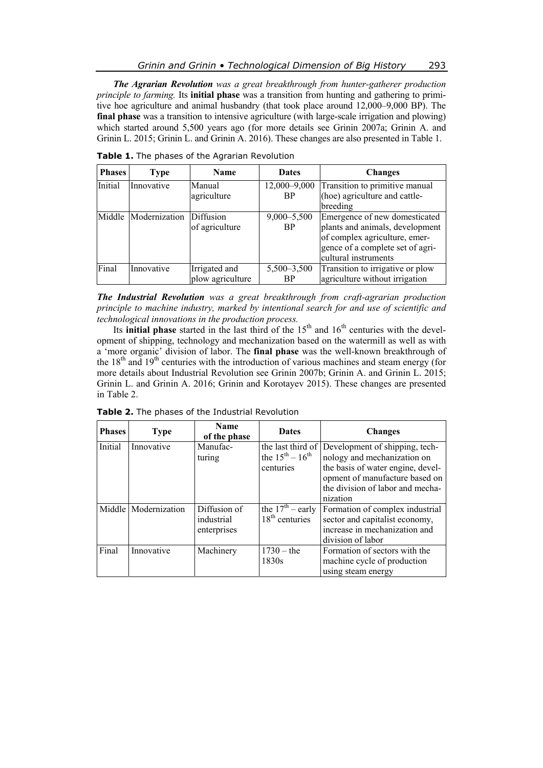*The Agrarian Revolution was a great breakthrough from hunter-gatherer production principle to farming.* Its **initial phase** was a transition from hunting and gathering to primitive hoe agriculture and animal husbandry (that took place around 12,000–9,000 BP). The **final phase** was a transition to intensive agriculture (with large-scale irrigation and plowing) which started around 5,500 years ago (for more details see Grinin 2007a; Grinin A. and Grinin L. 2015; Grinin L. and Grinin A. 2016). These changes are also presented in Table 1.

| <b>Phases</b> | <b>Type</b>          | <b>Name</b>      | <b>Dates</b>    | <b>Changes</b>                   |
|---------------|----------------------|------------------|-----------------|----------------------------------|
| Initial       | Innovative           | Manual           | 12,000-9,000    | Transition to primitive manual   |
|               |                      | agriculture      | <b>BP</b>       | (hoe) agriculture and cattle-    |
|               |                      |                  |                 | breeding                         |
|               | Middle Modernization | <b>Diffusion</b> | $9,000 - 5,500$ | Emergence of new domesticated    |
|               |                      | of agriculture   | <b>BP</b>       | plants and animals, development  |
|               |                      |                  |                 | of complex agriculture, emer-    |
|               |                      |                  |                 | gence of a complete set of agri- |
|               |                      |                  |                 | cultural instruments             |
| Final         | Innovative           | Irrigated and    | 5,500-3,500     | Transition to irrigative or plow |
|               |                      | plow agriculture | <b>BP</b>       | agriculture without irrigation   |

**Table 1.** The phases of the Agrarian Revolution

*The Industrial Revolution was a great breakthrough from craft-agrarian production principle to machine industry, marked by intentional search for and use of scientific and technological innovations in the production process.* 

Its **initial phase** started in the last third of the  $15<sup>th</sup>$  and  $16<sup>th</sup>$  centuries with the development of shipping, technology and mechanization based on the watermill as well as with a 'more organic' division of labor. The **final phase** was the well-known breakthrough of the  $18<sup>th</sup>$  and  $19<sup>th</sup>$  centuries with the introduction of various machines and steam energy (for more details about Industrial Revolution see Grinin 2007b; Grinin A. and Grinin L. 2015; Grinin L. and Grinin A. 2016; Grinin and Korotayev 2015). These changes are presented in Table 2.

| <b>Phases</b> | <b>Type</b>          | <b>Name</b><br>of the phase | <b>Dates</b>            | <b>Changes</b>                                   |
|---------------|----------------------|-----------------------------|-------------------------|--------------------------------------------------|
| Initial       | Innovative           | Manufac-                    |                         | the last third of Development of shipping, tech- |
|               |                      | turing                      | the $15^{th} - 16^{th}$ | nology and mechanization on                      |
|               |                      |                             | centuries               | the basis of water engine, devel-                |
|               |                      |                             |                         | opment of manufacture based on                   |
|               |                      |                             |                         | the division of labor and mecha-                 |
|               |                      |                             |                         | nization                                         |
|               | Middle Modernization | Diffusion of                | the $17th$ – early      | Formation of complex industrial                  |
|               |                      | industrial                  | $18th$ centuries        | sector and capitalist economy,                   |
|               |                      | enterprises                 |                         | increase in mechanization and                    |
|               |                      |                             |                         | division of labor                                |
| Final         | Innovative           | Machinery                   | $1730 -$ the            | Formation of sectors with the                    |
|               |                      |                             | 1830s                   | machine cycle of production                      |
|               |                      |                             |                         | using steam energy                               |

**Table 2.** The phases of the Industrial Revolution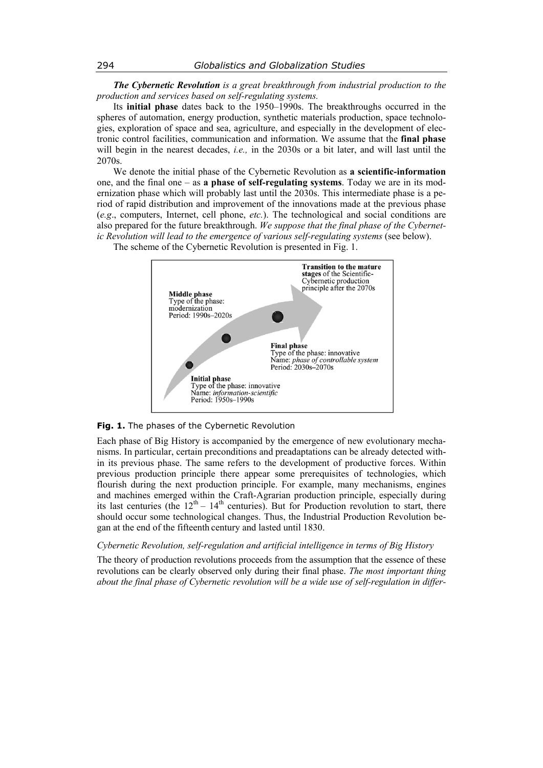*The Cybernetic Revolution is a great breakthrough from industrial production to the production and services based on self-regulating systems.* 

Its **initial phase** dates back to the 1950–1990s. The breakthroughs occurred in the spheres of automation, energy production, synthetic materials production, space technologies, exploration of space and sea, agriculture, and especially in the development of electronic control facilities, communication and information. We assume that the **final phase** will begin in the nearest decades, *i.e.,* in the 2030s or a bit later, and will last until the 2070s.

We denote the initial phase of the Cybernetic Revolution as **a scientific-information**  one, and the final one – as **a phase of self-regulating systems**. Today we are in its modernization phase which will probably last until the 2030s. This intermediate phase is a period of rapid distribution and improvement of the innovations made at the previous phase (*e.g*., computers, Internet, cell phone, *etc.*). The technological and social conditions are also prepared for the future breakthrough. *We suppose that the final phase of the Cybernetic Revolution will lead to the emergence of various self-regulating systems (see below).* 

The scheme of the Cybernetic Revolution is presented in Fig. 1.



# **Fig. 1.** The phases of the Cybernetic Revolution

Each phase of Big History is accompanied by the emergence of new evolutionary mechanisms. In particular, certain preconditions and preadaptations can be already detected within its previous phase. The same refers to the development of productive forces. Within previous production principle there appear some prerequisites of technologies, which flourish during the next production principle. For example, many mechanisms, engines and machines emerged within the Craft-Agrarian production principle, especially during its last centuries (the  $12<sup>th</sup> - 14<sup>th</sup>$  centuries). But for Production revolution to start, there should occur some technological changes. Thus, the Industrial Production Revolution began at the end of the fifteenth century and lasted until 1830.

# *Cybernetic Revolution, self-regulation and artificial intelligence in terms of Big History*

The theory of production revolutions proceeds from the assumption that the essence of these revolutions can be clearly observed only during their final phase. *The most important thing about the final phase of Cybernetic revolution will be a wide use of self-regulation in differ-*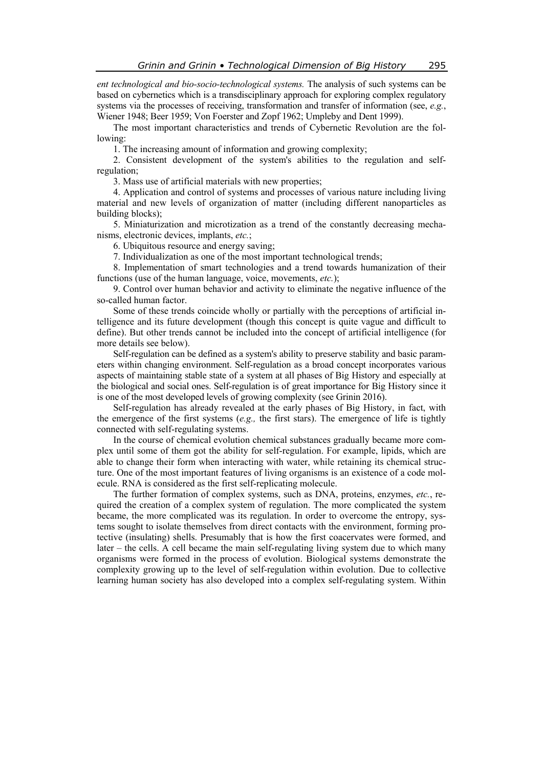*ent technological and bio-socio-technological systems.* The analysis of such systems can be based on cybernetics which is a transdisciplinary approach for exploring complex regulatory systems via the processes of receiving, transformation and transfer of information (see, *e.g.*, Wiener 1948; Beer 1959; Von Foerster and Zopf 1962; Umpleby and Dent 1999).

The most important characteristics and trends of Cybernetic Revolution are the following:

1. The increasing amount of information and growing complexity;

2. Consistent development of the system's abilities to the regulation and selfregulation;

3. Mass use of artificial materials with new properties;

4. Application and control of systems and processes of various nature including living material and new levels of organization of matter (including different nanoparticles as building blocks);

5. Miniaturization and microtization as a trend of the constantly decreasing mechanisms, electronic devices, implants, *etc.*;

6. Ubiquitous resource and energy saving;

7. Individualization as one of the most important technological trends;

8. Implementation of smart technologies and a trend towards humanization of their functions (use of the human language, voice, movements, *etc.*);

9. Control over human behavior and activity to eliminate the negative influence of the so-called human factor.

Some of these trends coincide wholly or partially with the perceptions of artificial intelligence and its future development (though this concept is quite vague and difficult to define). But other trends cannot be included into the concept of artificial intelligence (for more details see below).

Self-regulation can be defined as a system's ability to preserve stability and basic parameters within changing environment. Self-regulation as a broad concept incorporates various aspects of maintaining stable state of a system at all phases of Big History and especially at the biological and social ones. Self-regulation is of great importance for Big History since it is one of the most developed levels of growing complexity (see Grinin 2016).

Self-regulation has already revealed at the early phases of Big History, in fact, with the emergence of the first systems (*e.g.,* the first stars). The emergence of life is tightly connected with self-regulating systems.

In the course of chemical evolution chemical substances gradually became more complex until some of them got the ability for self-regulation. For example, lipids, which are able to change their form when interacting with water, while retaining its chemical structure. One of the most important features of living organisms is an existence of a code molecule. RNA is considered as the first self-replicating molecule.

The further formation of complex systems, such as DNA, proteins, enzymes, *etc.*, required the creation of a complex system of regulation. The more complicated the system became, the more complicated was its regulation. In order to overcome the entropy, systems sought to isolate themselves from direct contacts with the environment, forming protective (insulating) shells. Presumably that is how the first coacervates were formed, and later – the cells. A cell became the main self-regulating living system due to which many organisms were formed in the process of evolution. Biological systems demonstrate the complexity growing up to the level of self-regulation within evolution. Due to collective learning human society has also developed into a complex self-regulating system. Within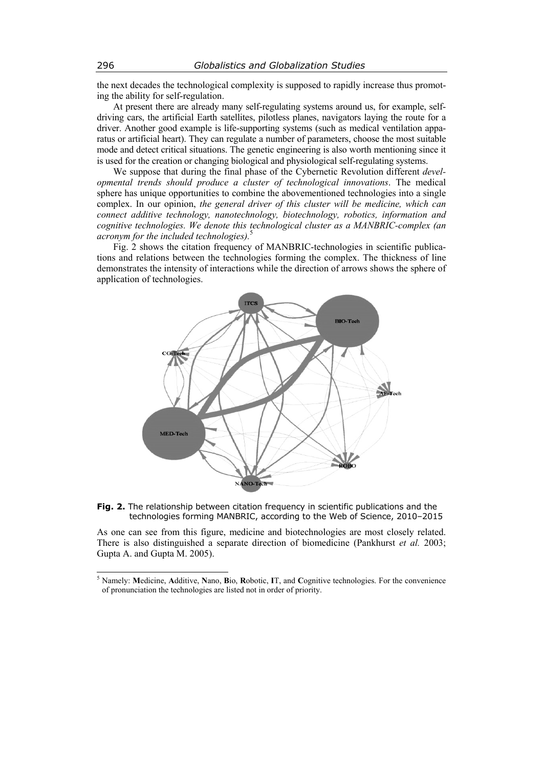the next decades the technological complexity is supposed to rapidly increase thus promoting the ability for self-regulation.

At present there are already many self-regulating systems around us, for example, selfdriving cars, the artificial Earth satellites, pilotless planes, navigators laying the route for a driver. Another good example is life-supporting systems (such as medical ventilation apparatus or artificial heart). They can regulate a number of parameters, choose the most suitable mode and detect critical situations. The genetic engineering is also worth mentioning since it is used for the creation or changing biological and physiological self-regulating systems.

We suppose that during the final phase of the Cybernetic Revolution different *developmental trends should produce a cluster of technological innovations*. The medical sphere has unique opportunities to combine the abovementioned technologies into a single complex. In our opinion, *the general driver of this cluster will be medicine, which can connect additive technology, nanotechnology, biotechnology, robotics, information and cognitive technologies. We denote this technological cluster as a MANBRIC-complex (an acronym for the included technologies).*<sup>5</sup>

Fig. 2 shows the citation frequency of MANBRIC-technologies in scientific publications and relations between the technologies forming the complex. The thickness of line demonstrates the intensity of interactions while the direction of arrows shows the sphere of application of technologies.



**Fig. 2.** The relationship between citation frequency in scientific publications and the technologies forming MANBRIC, according to the Web of Science, 2010–2015

As one can see from this figure, medicine and biotechnologies are most closely related. There is also distinguished a separate direction of biomedicine (Pankhurst *et al.* 2003; Gupta A. and Gupta M. 2005).

<sup>5</sup> Namely: **M**edicine, **A**dditive, **N**ano, **B**io, **R**obotic, **I**T, and **C**ognitive technologies. For the convenience of pronunciation the technologies are listed not in order of priority.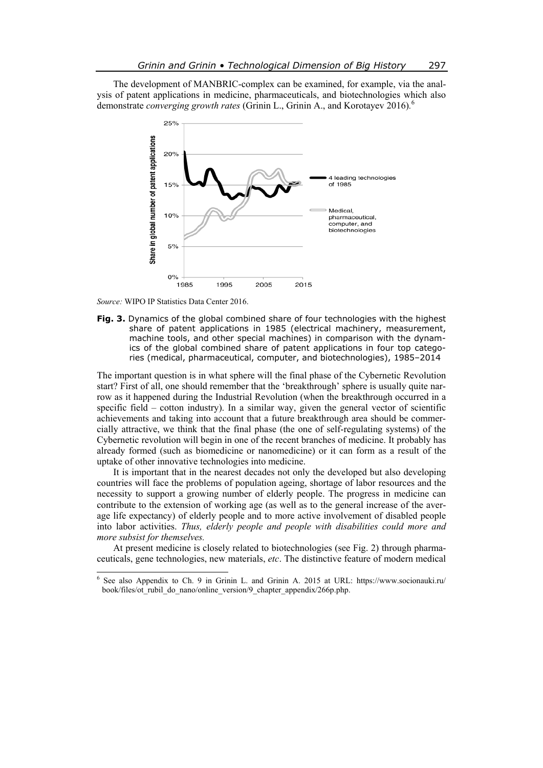The development of MANBRIC-complex can be examined, for example, via the analysis of patent applications in medicine, pharmaceuticals, and biotechnologies which also demonstrate *converging growth rates* (Grinin L., Grinin A., and Korotayev 2016)*.* 6



*Source:* WIPO IP Statistics Data Center 2016.

**Fig. 3.** Dynamics of the global combined share of four technologies with the highest share of patent applications in 1985 (electrical machinery, measurement, machine tools, and other special machines) in comparison with the dynamics of the global combined share of patent applications in four top categories (medical, pharmaceutical, computer, and biotechnologies), 1985–2014

The important question is in what sphere will the final phase of the Cybernetic Revolution start? First of all, one should remember that the 'breakthrough' sphere is usually quite narrow as it happened during the Industrial Revolution (when the breakthrough occurred in a specific field – cotton industry). In a similar way, given the general vector of scientific achievements and taking into account that a future breakthrough area should be commercially attractive, we think that the final phase (the one of self-regulating systems) of the Cybernetic revolution will begin in one of the recent branches of medicine. It probably has already formed (such as biomedicine or nanomedicine) or it can form as a result of the uptake of other innovative technologies into medicine.

It is important that in the nearest decades not only the developed but also developing countries will face the problems of population ageing, shortage of labor resources and the necessity to support a growing number of elderly people. The progress in medicine can contribute to the extension of working age (as well as to the general increase of the average life expectancy) of elderly people and to more active involvement of disabled people into labor activities. *Thus, elderly people and people with disabilities could more and more subsist for themselves.*

At present medicine is closely related to biotechnologies (see Fig. 2) through pharmaceuticals, gene technologies, new materials, *etc*. The distinctive feature of modern medical

 6 See also Appendix to Ch. 9 in Grinin L. and Grinin A. 2015 at URL: https://www.socionauki.ru/ book/files/ot\_rubil\_do\_nano/online\_version/9\_chapter\_appendix/266p.php.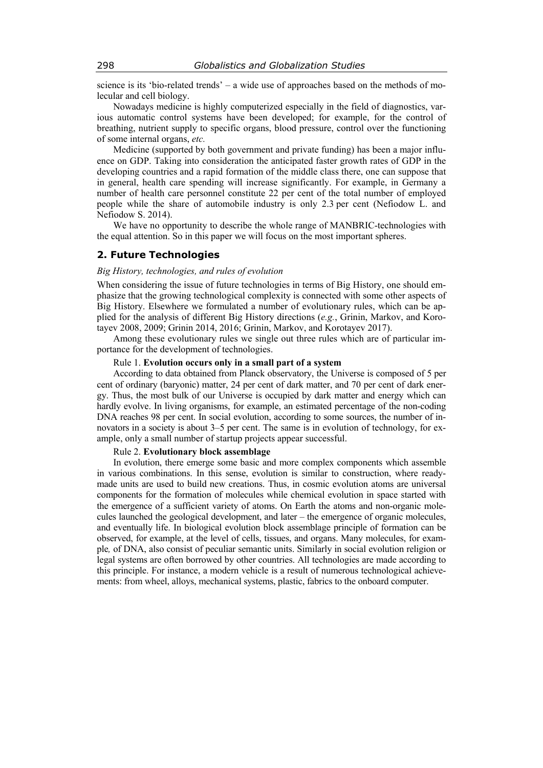science is its 'bio-related trends' – a wide use of approaches based on the methods of molecular and cell biology.

Nowadays medicine is highly computerized especially in the field of diagnostics, various automatic control systems have been developed; for example, for the control of breathing, nutrient supply to specific organs, blood pressure, control over the functioning of some internal organs, *etc.*

Medicine (supported by both government and private funding) has been a major influence on GDP. Taking into consideration the anticipated faster growth rates of GDP in the developing countries and a rapid formation of the middle class there, one can suppose that in general, health care spending will increase significantly. For example, in Germany a number of health care personnel constitute 22 per cent of the total number of employed people while the share of automobile industry is only 2.3 per cent (Nefiodow L. and Nefiodow S. 2014).

We have no opportunity to describe the whole range of MANBRIC-technologies with the equal attention. So in this paper we will focus on the most important spheres.

# **2. Future Technologies**

#### *Big History, technologies, and rules of evolution*

When considering the issue of future technologies in terms of Big History, one should emphasize that the growing technological complexity is connected with some other aspects of Big History. Elsewhere we formulated a number of evolutionary rules, which can be applied for the analysis of different Big History directions (*e.g.*, Grinin, Markov, and Korotayev 2008, 2009; Grinin 2014, 2016; Grinin, Markov, and Korotayev 2017).

Among these evolutionary rules we single out three rules which are of particular importance for the development of technologies.

#### Rule 1. **Evolution occurs only in a small part of a system**

According to data obtained from Planck observatory, the Universe is composed of 5 per cent of ordinary (baryonic) matter, 24 per cent of dark matter, and 70 per cent of dark energy. Thus, the most bulk of our Universe is occupied by dark matter and energy which can hardly evolve. In living organisms, for example, an estimated percentage of the non-coding DNA reaches 98 per cent. In social evolution, according to some sources, the number of innovators in a society is about 3–5 per cent. The same is in evolution of technology, for example, only a small number of startup projects appear successful.

#### Rule 2. **Evolutionary block assemblage**

In evolution, there emerge some basic and more complex components which assemble in various combinations. In this sense, evolution is similar to construction, where readymade units are used to build new creations. Thus, in cosmic evolution atoms are universal components for the formation of molecules while chemical evolution in space started with the emergence of a sufficient variety of atoms. On Earth the atoms and non-organic molecules launched the geological development, and later – the emergence of organic molecules, and eventually life. In biological evolution block assemblage principle of formation can be observed, for example, at the level of cells, tissues, and organs. Many molecules, for example*,* of DNA, also consist of peculiar semantic units. Similarly in social evolution religion or legal systems are often borrowed by other countries. All technologies are made according to this principle. For instance, a modern vehicle is a result of numerous technological achievements: from wheel, alloys, mechanical systems, plastic, fabrics to the onboard computer.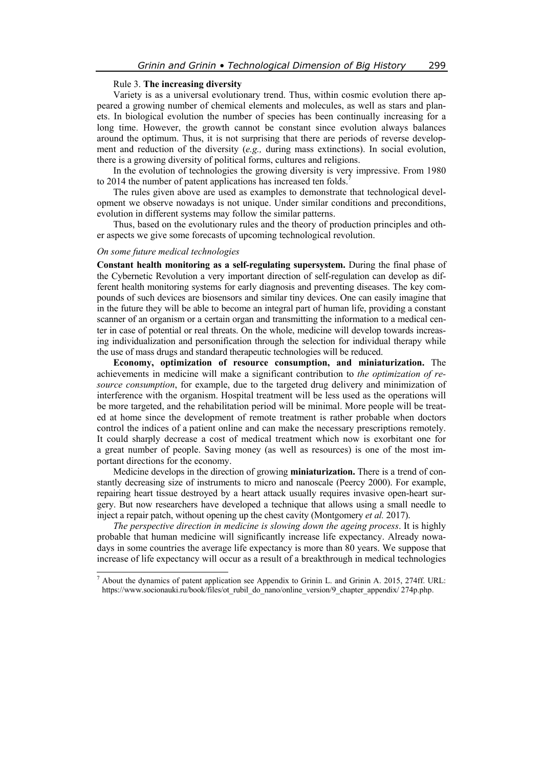#### Rule 3. **The increasing diversity**

Variety is as a universal evolutionary trend. Thus, within cosmic evolution there appeared a growing number of chemical elements and molecules, as well as stars and planets. In biological evolution the number of species has been continually increasing for a long time. However, the growth cannot be constant since evolution always balances around the optimum. Thus, it is not surprising that there are periods of reverse development and reduction of the diversity (*e.g.,* during mass extinctions). In social evolution, there is a growing diversity of political forms, cultures and religions.

In the evolution of technologies the growing diversity is very impressive. From 1980 to 2014 the number of patent applications has increased ten folds.

The rules given above are used as examples to demonstrate that technological development we observe nowadays is not unique. Under similar conditions and preconditions, evolution in different systems may follow the similar patterns.

Thus, based on the evolutionary rules and the theory of production principles and other aspects we give some forecasts of upcoming technological revolution.

#### *On some future medical technologies*

**Constant health monitoring as a self-regulating supersystem.** During the final phase of the Cybernetic Revolution a very important direction of self-regulation can develop as different health monitoring systems for early diagnosis and preventing diseases. The key compounds of such devices are biosensors and similar tiny devices. One can easily imagine that in the future they will be able to become an integral part of human life, providing a constant scanner of an organism or a certain organ and transmitting the information to a medical center in case of potential or real threats. On the whole, medicine will develop towards increasing individualization and personification through the selection for individual therapy while the use of mass drugs and standard therapeutic technologies will be reduced.

**Economy, optimization of resource consumption, and miniaturization.** The achievements in medicine will make a significant contribution to *the optimization of resource consumption*, for example, due to the targeted drug delivery and minimization of interference with the organism. Hospital treatment will be less used as the operations will be more targeted, and the rehabilitation period will be minimal. More people will be treated at home since the development of remote treatment is rather probable when doctors control the indices of a patient online and can make the necessary prescriptions remotely. It could sharply decrease a cost of medical treatment which now is exorbitant one for a great number of people. Saving money (as well as resources) is one of the most important directions for the economy.

Medicine develops in the direction of growing **miniaturization.** There is a trend of constantly decreasing size of instruments to micro and nanoscale (Peercy 2000). For example, repairing heart tissue destroyed by a heart attack usually requires invasive open-heart surgery. But now researchers have developed a technique that allows using a small needle to inject a repair patch, without opening up the chest cavity (Montgomery *et al.* 2017).

*The perspective direction in medicine is slowing down the ageing process*. It is highly probable that human medicine will significantly increase life expectancy. Already nowadays in some countries the average life expectancy is more than 80 years. We suppose that increase of life expectancy will occur as a result of a breakthrough in medical technologies

<sup>&</sup>lt;sup>7</sup> About the dynamics of patent application see Appendix to Grinin L. and Grinin A. 2015, 274ff. URL: https://www.socionauki.ru/book/files/ot\_rubil\_do\_nano/online\_version/9\_chapter\_appendix/ 274p.php.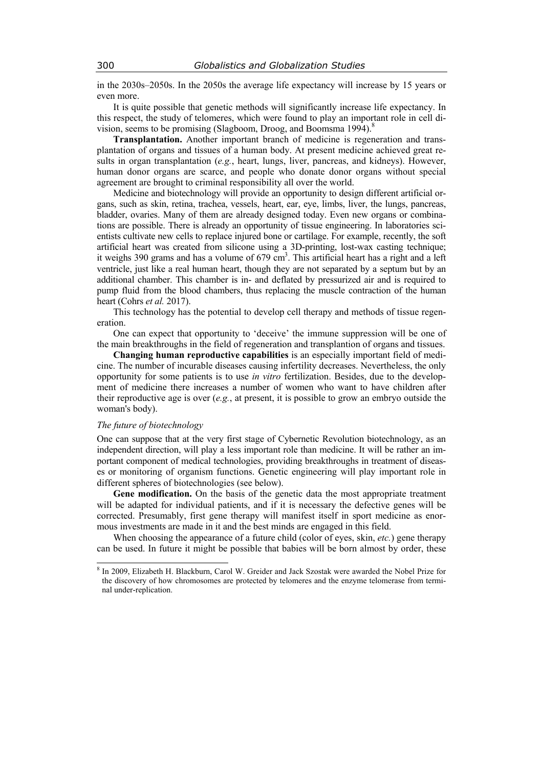in the 2030s–2050s. In the 2050s the average life expectancy will increase by 15 years or even more.

It is quite possible that genetic methods will significantly increase life expectancy. In this respect, the study of telomeres, which were found to play an important role in cell division, seems to be promising (Slagboom, Droog, and Boomsma 1994).<sup>8</sup>

**Transplantation.** Another important branch of medicine is regeneration and transplantation of organs and tissues of a human body. At present medicine achieved great results in organ transplantation (*e.g.*, heart, lungs, liver, pancreas, and kidneys). However, human donor organs are scarce, and people who donate donor organs without special agreement are brought to criminal responsibility all over the world.

Medicine and biotechnology will provide an opportunity to design different artificial organs, such as skin, retina, trachea, vessels, heart, ear, eye, limbs, liver, the lungs, pancreas, bladder, ovaries. Many of them are already designed today. Even new organs or combinations are possible. There is already an opportunity of tissue engineering. In laboratories scientists cultivate new cells to replace injured bone or cartilage. For example, recently, the soft artificial heart was created from silicone using a 3D-printing, lost-wax casting technique; it weighs 390 grams and has a volume of  $679 \text{ cm}^3$ . This artificial heart has a right and a left ventricle, just like a real human heart, though they are not separated by a septum but by an additional chamber. This chamber is in- and deflated by pressurized air and is required to pump fluid from the blood chambers, thus replacing the muscle contraction of the human heart (Cohrs *et al.* 2017).

This technology has the potential to develop cell therapy and methods of tissue regeneration.

One can expect that opportunity to 'deceive' the immune suppression will be one of the main breakthroughs in the field of regeneration and transplantion of organs and tissues.

**Changing human reproductive capabilities** is an especially important field of medicine. The number of incurable diseases causing infertility decreases. Nevertheless, the only opportunity for some patients is to use *in vitro* fertilization. Besides, due to the development of medicine there increases a number of women who want to have children after their reproductive age is over (*e.g.*, at present, it is possible to grow an embryo outside the woman's body).

# *The future of biotechnology*

 $\overline{\phantom{a}}$ 

One can suppose that at the very first stage of Cybernetic Revolution biotechnology, as an independent direction, will play a less important role than medicine. It will be rather an important component of medical technologies, providing breakthroughs in treatment of diseases or monitoring of organism functions. Genetic engineering will play important role in different spheres of biotechnologies (see below).

**Gene modification.** On the basis of the genetic data the most appropriate treatment will be adapted for individual patients, and if it is necessary the defective genes will be corrected. Presumably, first gene therapy will manifest itself in sport medicine as enormous investments are made in it and the best minds are engaged in this field.

When choosing the appearance of a future child (color of eyes, skin, *etc.*) gene therapy can be used. In future it might be possible that babies will be born almost by order, these

<sup>&</sup>lt;sup>8</sup> In 2009, Elizabeth H. Blackburn, Carol W. Greider and Jack Szostak were awarded the Nobel Prize for the discovery of how chromosomes are protected by telomeres and the enzyme telomerase from terminal under-replication.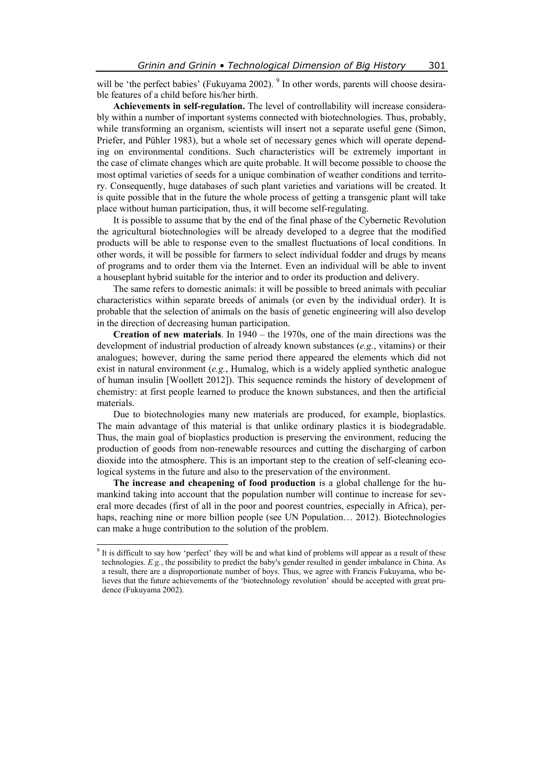will be 'the perfect babies' (Fukuyama 2002). <sup>9</sup> In other words, parents will choose desirable features of a child before his/her birth.

**Achievements in self-regulation.** The level of controllability will increase considerably within a number of important systems connected with biotechnologies. Thus, probably, while transforming an organism, scientists will insert not a separate useful gene (Simon, Priefer, and Pühler 1983), but a whole set of necessary genes which will operate depending on environmental conditions. Such characteristics will be extremely important in the case of climate changes which are quite probable. It will become possible to choose the most optimal varieties of seeds for a unique combination of weather conditions and territory. Consequently, huge databases of such plant varieties and variations will be created. It is quite possible that in the future the whole process of getting a transgenic plant will take place without human participation, thus, it will become self-regulating.

It is possible to assume that by the end of the final phase of the Cybernetic Revolution the agricultural biotechnologies will be already developed to a degree that the modified products will be able to response even to the smallest fluctuations of local conditions. In other words, it will be possible for farmers to select individual fodder and drugs by means of programs and to order them via the Internet. Even an individual will be able to invent a houseplant hybrid suitable for the interior and to order its production and delivery.

The same refers to domestic animals: it will be possible to breed animals with peculiar characteristics within separate breeds of animals (or even by the individual order). It is probable that the selection of animals on the basis of genetic engineering will also develop in the direction of decreasing human participation.

**Creation of new materials**. In 1940 – the 1970s, one of the main directions was the development of industrial production of already known substances (*e.g.*, vitamins) or their analogues; however, during the same period there appeared the elements which did not exist in natural environment (*e.g.*, Humalog, which is a widely applied synthetic analogue of human insulin [Woollett 2012]). This sequence reminds the history of development of chemistry: at first people learned to produce the known substances, and then the artificial materials.

Due to biotechnologies many new materials are produced, for example, bioplastics. The main advantage of this material is that unlike ordinary plastics it is biodegradable. Thus, the main goal of bioplastics production is preserving the environment, reducing the production of goods from non-renewable resources and cutting the discharging of carbon dioxide into the atmosphere. This is an important step to the creation of self-cleaning ecological systems in the future and also to the preservation of the environment.

**The increase and cheapening of food production** is a global challenge for the humankind taking into account that the population number will continue to increase for several more decades (first of all in the poor and poorest countries, especially in Africa), perhaps, reaching nine or more billion people (see UN Population… 2012). Biotechnologies can make a huge contribution to the solution of the problem.

<sup>&</sup>lt;sup>9</sup> It is difficult to say how 'perfect' they will be and what kind of problems will appear as a result of these technologies. *E.g.*, the possibility to predict the baby's gender resulted in gender imbalance in China. As a result, there are a disproportionate number of boys. Thus, we agree with Francis Fukuyama, who believes that the future achievements of the 'biotechnology revolution' should be accepted with great prudence (Fukuyama 2002).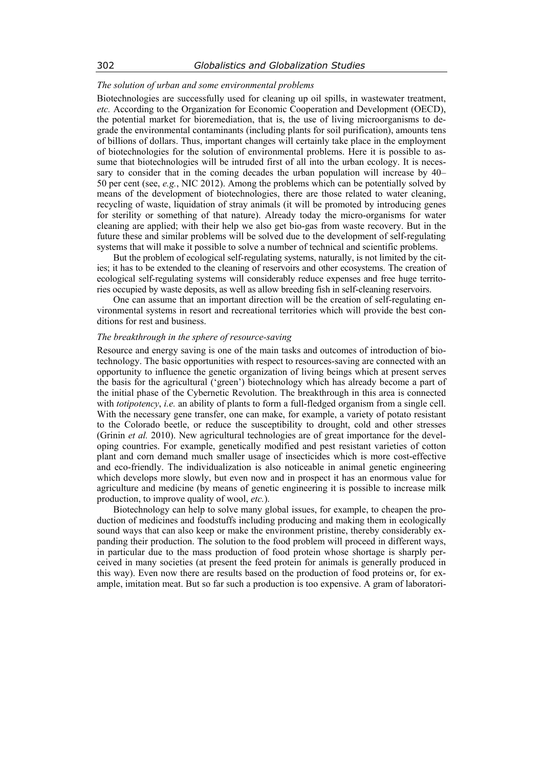# *The solution of urban and some environmental problems*

Biotechnologies are successfully used for cleaning up oil spills, in wastewater treatment, *etc.* According to the Organization for Economic Cooperation and Development (OECD), the potential market for bioremediation, that is, the use of living microorganisms to degrade the environmental contaminants (including plants for soil purification), amounts tens of billions of dollars. Thus, important changes will certainly take place in the employment of biotechnologies for the solution of environmental problems. Here it is possible to assume that biotechnologies will be intruded first of all into the urban ecology. It is necessary to consider that in the coming decades the urban population will increase by 40– 50 per cent (see, *e.g.*, NIC 2012). Among the problems which can be potentially solved by means of the development of biotechnologies, there are those related to water cleaning, recycling of waste, liquidation of stray animals (it will be promoted by introducing genes for sterility or something of that nature). Already today the micro-organisms for water cleaning are applied; with their help we also get bio-gas from waste recovery. But in the future these and similar problems will be solved due to the development of self-regulating systems that will make it possible to solve a number of technical and scientific problems.

But the problem of ecological self-regulating systems, naturally, is not limited by the cities; it has to be extended to the cleaning of reservoirs and other ecosystems. The creation of ecological self-regulating systems will considerably reduce expenses and free huge territories occupied by waste deposits, as well as allow breeding fish in self-cleaning reservoirs.

One can assume that an important direction will be the creation of self-regulating environmental systems in resort and recreational territories which will provide the best conditions for rest and business.

# *The breakthrough in the sphere of resource-saving*

Resource and energy saving is one of the main tasks and outcomes of introduction of biotechnology. The basic opportunities with respect to resources-saving are connected with an opportunity to influence the genetic organization of living beings which at present serves the basis for the agricultural ('green') biotechnology which has already become a part of the initial phase of the Cybernetic Revolution. The breakthrough in this area is connected with *totipotency*, *i.e.* an ability of plants to form a full-fledged organism from a single cell. With the necessary gene transfer, one can make, for example, a variety of potato resistant to the Colorado beetle, or reduce the susceptibility to drought, cold and other stresses (Grinin *et al.* 2010). New agricultural technologies are of great importance for the developing countries. For example, genetically modified and pest resistant varieties of cotton plant and corn demand much smaller usage of insecticides which is more cost-effective and eco-friendly. The individualization is also noticeable in animal genetic engineering which develops more slowly, but even now and in prospect it has an enormous value for agriculture and medicine (by means of genetic engineering it is possible to increase milk production, to improve quality of wool, *etc.*).

Biotechnology can help to solve many global issues, for example, to cheapen the production of medicines and foodstuffs including producing and making them in ecologically sound ways that can also keep or make the environment pristine, thereby considerably expanding their production. The solution to the food problem will proceed in different ways, in particular due to the mass production of food protein whose shortage is sharply perceived in many societies (at present the feed protein for animals is generally produced in this way). Even now there are results based on the production of food proteins or, for example, imitation meat. But so far such a production is too expensive. A gram of laboratori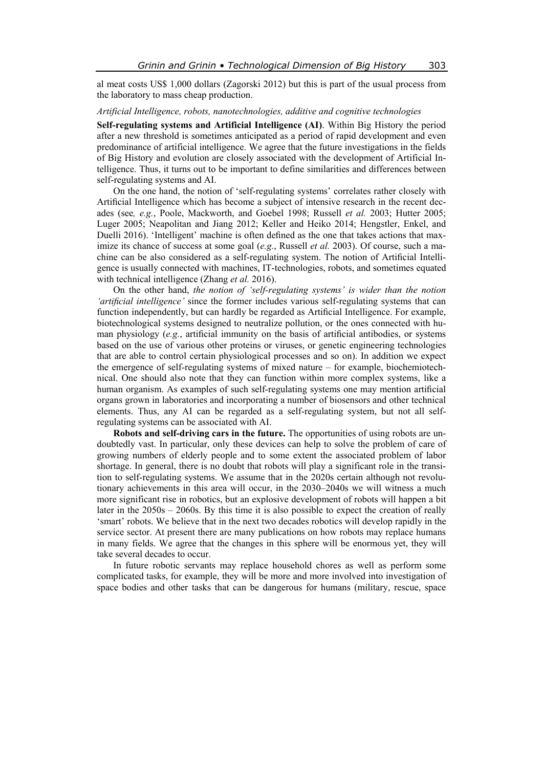al meat costs US\$ 1,000 dollars (Zagorski 2012) but this is part of the usual process from the laboratory to mass cheap production.

#### *Artificial Intelligence, robots, nanotechnologies, additive and cognitive technologies*

**Self-regulating systems and Artificial Intelligence (AI)**. Within Big History the period after a new threshold is sometimes anticipated as a period of rapid development and even predominance of artificial intelligence. We agree that the future investigations in the fields of Big History and evolution are closely associated with the development of Artificial Intelligence. Thus, it turns out to be important to define similarities and differences between self-regulating systems and AI.

On the one hand, the notion of 'self-regulating systems' correlates rather closely with Artificial Intelligence which has become a subject of intensive research in the recent decades (see*, e.g.*, Poole, Mackworth, and Goebel 1998; Russell *et al.* 2003; Hutter 2005; Luger 2005; Neapolitan and Jiang 2012; Keller and Heiko 2014; Hengstler, Enkel, and Duelli 2016). 'Intelligent' machine is often defined as the one that takes actions that maximize its chance of success at some goal (*e.g.*, Russell *et al.* 2003). Of course, such a machine can be also considered as a self-regulating system. The notion of Artificial Intelligence is usually connected with machines, IT-technologies, robots, and sometimes equated with technical intelligence (Zhang *et al.* 2016).

On the other hand, *the notion of 'self-regulating systems' is wider than the notion 'artificial intelligence'* since the former includes various self-regulating systems that can function independently, but can hardly be regarded as Artificial Intelligence. For example, biotechnological systems designed to neutralize pollution, or the ones connected with human physiology (*e.g.*, artificial immunity on the basis of artificial antibodies, or systems based on the use of various other proteins or viruses, or genetic engineering technologies that are able to control certain physiological processes and so on). In addition we expect the emergence of self-regulating systems of mixed nature – for example, biochemiotechnical. One should also note that they can function within more complex systems, like a human organism. As examples of such self-regulating systems one may mention artificial organs grown in laboratories and incorporating a number of biosensors and other technical elements. Thus, any AI can be regarded as a self-regulating system, but not all selfregulating systems can be associated with AI.

**Robots and self-driving cars in the future.** The opportunities of using robots are undoubtedly vast. In particular, only these devices can help to solve the problem of care of growing numbers of elderly people and to some extent the associated problem of labor shortage. In general, there is no doubt that robots will play a significant role in the transition to self-regulating systems. We assume that in the 2020s certain although not revolutionary achievements in this area will occur, in the 2030–2040s we will witness a much more significant rise in robotics, but an explosive development of robots will happen a bit later in the 2050s – 2060s. By this time it is also possible to expect the creation of really 'smart' robots. We believe that in the next two decades robotics will develop rapidly in the service sector. At present there are many publications on how robots may replace humans in many fields. We agree that the changes in this sphere will be enormous yet, they will take several decades to occur.

In future robotic servants may replace household chores as well as perform some complicated tasks, for example, they will be more and more involved into investigation of space bodies and other tasks that can be dangerous for humans (military, rescue, space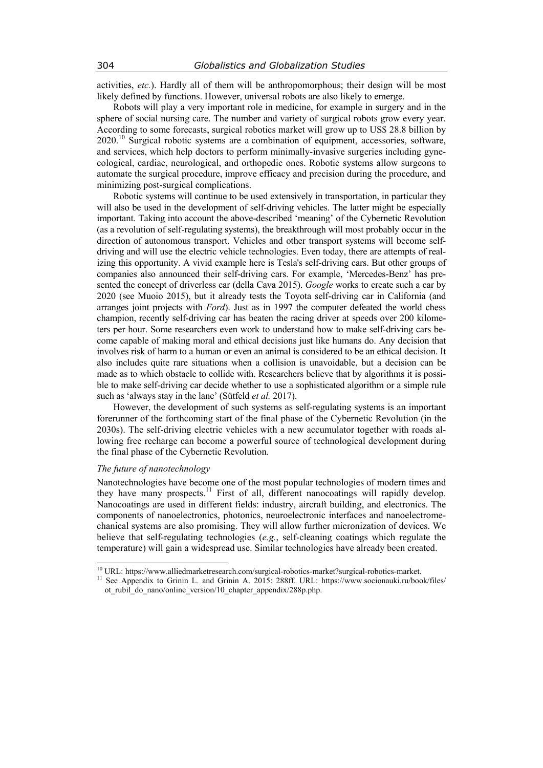activities, *etc.*). Hardly all of them will be anthropomorphous; their design will be most likely defined by functions. However, universal robots are also likely to emerge.

Robots will play a very important role in medicine, for example in surgery and in the sphere of social nursing care. The number and variety of surgical robots grow every year. According to some forecasts, surgical robotics market will grow up to US\$ 28.8 billion by  $2020$ .<sup>10</sup> Surgical robotic systems are a combination of equipment, accessories, software, and services, which help doctors to perform minimally-invasive surgeries including gynecological, cardiac, neurological, and orthopedic ones. Robotic systems allow surgeons to automate the surgical procedure, improve efficacy and precision during the procedure, and minimizing post-surgical complications.

Robotic systems will continue to be used extensively in transportation, in particular they will also be used in the development of self-driving vehicles. The latter might be especially important. Taking into account the above-described 'meaning' of the Cybernetic Revolution (as a revolution of self-regulating systems), the breakthrough will most probably occur in the direction of autonomous transport. Vehicles and other transport systems will become selfdriving and will use the electric vehicle technologies. Even today, there are attempts of realizing this opportunity. A vivid example here is Tesla's self-driving cars. But other groups of companies also announced their self-driving cars. For example, 'Mercedes-Benz' has presented the concept of driverless car (della Cava 2015). *Google* works to create such a car by 2020 (see Muoio 2015), but it already tests the Toyota self-driving car in California (and arranges joint projects with *Ford*). Just as in 1997 the computer defeated the world chess champion, recently self-driving car has beaten the racing driver at speeds over 200 kilometers per hour. Some researchers even work to understand how to make self-driving cars become capable of making moral and ethical decisions just like humans do. Any decision that involves risk of harm to a human or even an animal is considered to be an ethical decision. It also includes quite rare situations when a collision is unavoidable, but a decision can be made as to which obstacle to collide with. Researchers believe that by algorithms it is possible to make self-driving car decide whether to use a sophisticated algorithm or a simple rule such as 'always stay in the lane' (Sütfeld *et al.* 2017).

However, the development of such systems as self-regulating systems is an important forerunner of the forthcoming start of the final phase of the Cybernetic Revolution (in the 2030s). The self-driving electric vehicles with a new accumulator together with roads allowing free recharge can become a powerful source of technological development during the final phase of the Cybernetic Revolution.

# *The future of nanotechnology*

Nanotechnologies have become one of the most popular technologies of modern times and they have many prospects.<sup>11</sup> First of all, different nanocoatings will rapidly develop. Nanocoatings are used in different fields: industry, aircraft building, and electronics. The components of nanoelectronics, photonics, neuroelectronic interfaces and nanoelectromechanical systems are also promising. They will allow further micronization of devices. We believe that self-regulating technologies (*e.g.*, self-cleaning coatings which regulate the temperature) will gain a widespread use. Similar technologies have already been created.

 $^{10}$  URL: https://www.alliedmarketresearch.com/surgical-robotics-market?surgical-robotics-market.

<sup>&</sup>lt;sup>11</sup> See Appendix to Grinin L. and Grinin A. 2015: 288ff. URL: https://www.socionauki.ru/book/files/ ot rubil do nano/online version/10 chapter appendix/288p.php.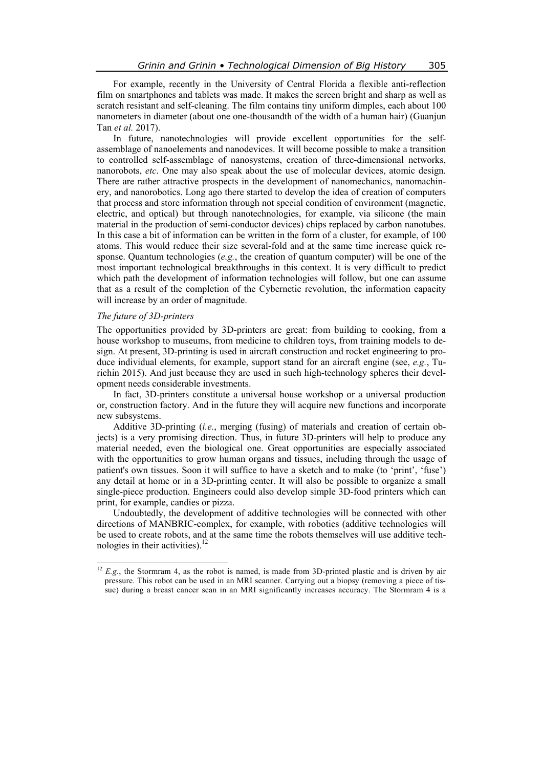For example, recently in the University of Central Florida a flexible anti-reflection film on smartphones and tablets was made. It makes the screen bright and sharp as well as scratch resistant and self-cleaning. The film contains tiny uniform dimples, each about 100 nanometers in diameter (about one one-thousandth of the width of a human hair) (Guanjun Tan *et al.* 2017).

In future, nanotechnologies will provide excellent opportunities for the selfassemblage of nanoelements and nanodevices. It will become possible to make a transition to controlled self-assemblage of nanosystems, creation of three-dimensional networks, nanorobots, *etc*. One may also speak about the use of molecular devices, atomic design. There are rather attractive prospects in the development of nanomechanics, nanomachinery, and nanorobotics. Long ago there started to develop the idea of creation of computers that process and store information through not special condition of environment (magnetic, electric, and optical) but through nanotechnologies, for example, via silicone (the main material in the production of semi-conductor devices) chips replaced by carbon nanotubes. In this case a bit of information can be written in the form of a cluster, for example, of 100 atoms. This would reduce their size several-fold and at the same time increase quick response. Quantum technologies (*e.g.*, the creation of quantum computer) will be one of the most important technological breakthroughs in this context. It is very difficult to predict which path the development of information technologies will follow, but one can assume that as a result of the completion of the Cybernetic revolution, the information capacity will increase by an order of magnitude.

## *The future of 3D-printers*

The opportunities provided by 3D-printers are great: from building to cooking, from a house workshop to museums, from medicine to children toys, from training models to design. At present, 3D-printing is used in aircraft construction and rocket engineering to produce individual elements, for example, support stand for an aircraft engine (see, *e.g.*, Turichin 2015). And just because they are used in such high-technology spheres their development needs considerable investments.

In fact, 3D-printers constitute a universal house workshop or a universal production or, construction factory. And in the future they will acquire new functions and incorporate new subsystems.

Additive 3D-printing (*i.e.*, merging (fusing) of materials and creation of certain objects) is a very promising direction. Thus, in future 3D-printers will help to produce any material needed, even the biological one. Great opportunities are especially associated with the opportunities to grow human organs and tissues, including through the usage of patient's own tissues. Soon it will suffice to have a sketch and to make (to 'print', 'fuse') any detail at home or in a 3D-printing center. It will also be possible to organize a small single-piece production. Engineers could also develop simple 3D-food printers which can print, for example, candies or pizza.

Undoubtedly, the development of additive technologies will be connected with other directions of MANBRIC-complex, for example, with robotics (additive technologies will be used to create robots, and at the same time the robots themselves will use additive technologies in their activities). $12$ 

 $12$ <sup>12</sup> *E.g.*, the Stormram 4, as the robot is named, is made from 3D-printed plastic and is driven by air pressure. This robot can be used in an MRI scanner. Carrying out a biopsy (removing a piece of tissue) during a breast cancer scan in an MRI significantly increases accuracy. The Stormram 4 is a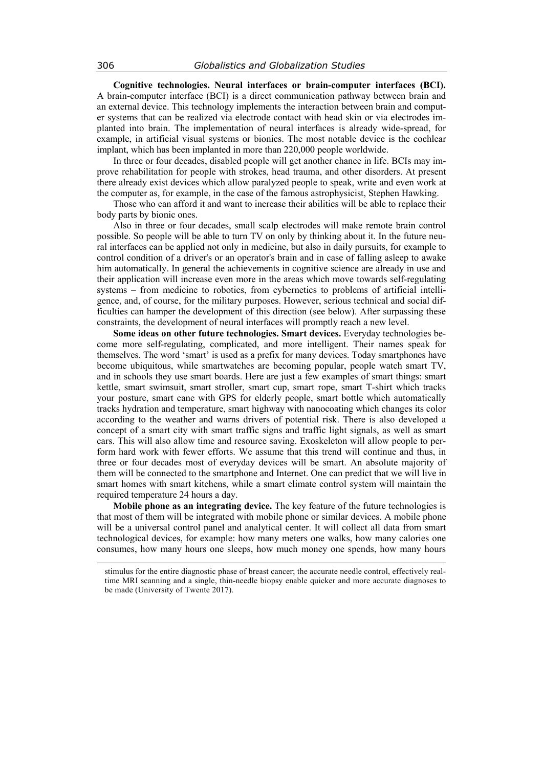**Cognitive technologies. Neural interfaces or brain-computer interfaces (BCI).** A brain-computer interface (BCI) is a direct communication pathway between brain and an external device. This technology implements the interaction between brain and computer systems that can be realized via electrode contact with head skin or via electrodes implanted into brain. The implementation of neural interfaces is already wide-spread, for example, in artificial visual systems or bionics. The most notable device is the cochlear implant, which has been implanted in more than 220,000 people worldwide.

In three or four decades, disabled people will get another chance in life. BCIs may improve rehabilitation for people with strokes, head trauma, and other disorders. At present there already exist devices which allow paralyzed people to speak, write and even work at the computer as, for example, in the case of the famous astrophysicist, Stephen Hawking.

Those who can afford it and want to increase their abilities will be able to replace their body parts by bionic ones.

Also in three or four decades, small scalp electrodes will make remote brain control possible. So people will be able to turn TV on only by thinking about it. In the future neural interfaces can be applied not only in medicine, but also in daily pursuits, for example to control condition of a driver's or an operator's brain and in case of falling asleep to awake him automatically. In general the achievements in cognitive science are already in use and their application will increase even more in the areas which move towards self-regulating systems – from medicine to robotics, from cybernetics to problems of artificial intelligence, and, of course, for the military purposes. However, serious technical and social difficulties can hamper the development of this direction (see below). After surpassing these constraints, the development of neural interfaces will promptly reach a new level.

**Some ideas on other future technologies. Smart devices.** Everyday technologies become more self-regulating, complicated, and more intelligent. Their names speak for themselves. The word 'smart' is used as a prefix for many devices. Today smartphones have become ubiquitous, while smartwatches are becoming popular, people watch smart TV, and in schools they use smart boards. Here are just a few examples of smart things: smart kettle, smart swimsuit, smart stroller, smart cup, smart rope, smart T-shirt which tracks your posture, smart cane with GPS for elderly people, smart bottle which automatically tracks hydration and temperature, smart highway with nanocoating which changes its color according to the weather and warns drivers of potential risk. There is also developed a concept of a smart city with smart traffic signs and traffic light signals, as well as smart cars. This will also allow time and resource saving. Exoskeleton will allow people to perform hard work with fewer efforts. We assume that this trend will continue and thus, in three or four decades most of everyday devices will be smart. An absolute majority of them will be connected to the smartphone and Internet. One can predict that we will live in smart homes with smart kitchens, while a smart climate control system will maintain the required temperature 24 hours a day.

**Mobile phone as an integrating device.** The key feature of the future technologies is that most of them will be integrated with mobile phone or similar devices. A mobile phone will be a universal control panel and analytical center. It will collect all data from smart technological devices, for example: how many meters one walks, how many calories one consumes, how many hours one sleeps, how much money one spends, how many hours

stimulus for the entire diagnostic phase of breast cancer; the accurate needle control, effectively realtime MRI scanning and a single, thin-needle biopsy enable quicker and more accurate diagnoses to be made (University of Twente 2017).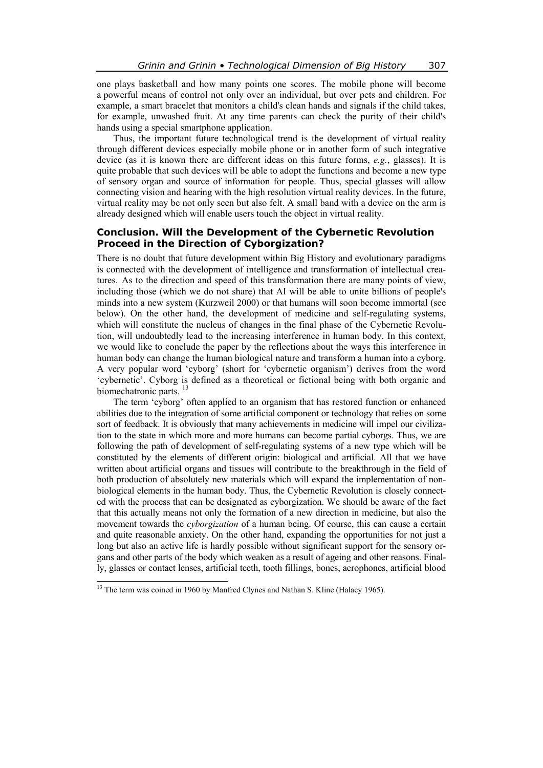one plays basketball and how many points one scores. The mobile phone will become a powerful means of control not only over an individual, but over pets and children. For example, a smart bracelet that monitors a child's clean hands and signals if the child takes, for example, unwashed fruit. At any time parents can check the purity of their child's hands using a special smartphone application.

Thus, the important future technological trend is the development of virtual reality through different devices especially mobile phone or in another form of such integrative device (as it is known there are different ideas on this future forms, *e.g.*, glasses). It is quite probable that such devices will be able to adopt the functions and become a new type of sensory organ and source of information for people. Thus, special glasses will allow connecting vision and hearing with the high resolution virtual reality devices. In the future, virtual reality may be not only seen but also felt. A small band with a device on the arm is already designed which will enable users touch the object in virtual reality.

# **Conclusion. Will the Development of the Cybernetic Revolution Proceed in the Direction of Cyborgization?**

There is no doubt that future development within Big History and evolutionary paradigms is connected with the development of intelligence and transformation of intellectual creatures. As to the direction and speed of this transformation there are many points of view, including those (which we do not share) that AI will be able to unite billions of people's minds into a new system (Kurzweil 2000) or that humans will soon become immortal (see below). On the other hand, the development of medicine and self-regulating systems, which will constitute the nucleus of changes in the final phase of the Cybernetic Revolution, will undoubtedly lead to the increasing interference in human body. In this context, we would like to conclude the paper by the reflections about the ways this interference in human body can change the human biological nature and transform a human into a cyborg. A very popular word 'cyborg' (short for 'cybernetic organism') derives from the word 'cybernetic'. Cyborg is defined as a theoretical or fictional being with both organic and biomechatronic parts.<sup>13</sup>

The term 'cyborg' often applied to an organism that has restored function or enhanced abilities due to the integration of some artificial component or technology that relies on some sort of feedback. It is obviously that many achievements in medicine will impel our civilization to the state in which more and more humans can become partial cyborgs. Thus, we are following the path of development of self-regulating systems of a new type which will be constituted by the elements of different origin: biological and artificial. All that we have written about artificial organs and tissues will contribute to the breakthrough in the field of both production of absolutely new materials which will expand the implementation of nonbiological elements in the human body. Thus, the Cybernetic Revolution is closely connected with the process that can be designated as cyborgization. We should be aware of the fact that this actually means not only the formation of a new direction in medicine, but also the movement towards the *cyborgization* of a human being. Of course, this can cause a certain and quite reasonable anxiety. On the other hand, expanding the opportunities for not just a long but also an active life is hardly possible without significant support for the sensory organs and other parts of the body which weaken as a result of ageing and other reasons. Finally, glasses or contact lenses, artificial teeth, tooth fillings, bones, aerophones, artificial blood

<sup>&</sup>lt;sup>13</sup> The term was coined in 1960 by Manfred Clynes and Nathan S. Kline (Halacy 1965).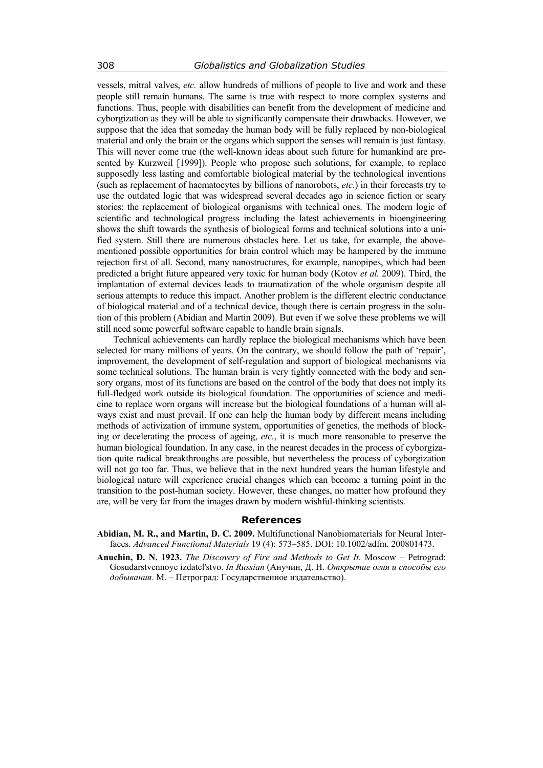vessels, mitral valves, *etc.* allow hundreds of millions of people to live and work and these people still remain humans. The same is true with respect to more complex systems and functions. Thus, people with disabilities can benefit from the development of medicine and cyborgization as they will be able to significantly compensate their drawbacks. However, we suppose that the idea that someday the human body will be fully replaced by non-biological material and only the brain or the organs which support the senses will remain is just fantasy. This will never come true (the well-known ideas about such future for humankind are presented by Kurzweil [1999]). People who propose such solutions, for example, to replace supposedly less lasting and comfortable biological material by the technological inventions (such as replacement of haematocytes by billions of nanorobots, *etc.*) in their forecasts try to use the outdated logic that was widespread several decades ago in science fiction or scary stories: the replacement of biological organisms with technical ones. The modern logic of scientific and technological progress including the latest achievements in bioengineering shows the shift towards the synthesis of biological forms and technical solutions into a unified system. Still there are numerous obstacles here. Let us take, for example, the abovementioned possible opportunities for brain control which may be hampered by the immune rejection first of all. Second, many nanostructures, for example, nanopipes, which had been predicted a bright future appeared very toxic for human body (Kotov *et al.* 2009). Third, the implantation of external devices leads to traumatization of the whole organism despite all serious attempts to reduce this impact. Another problem is the different electric conductance of biological material and of a technical device, though there is certain progress in the solution of this problem (Abidian and Martin 2009). But even if we solve these problems we will still need some powerful software capable to handle brain signals.

Technical achievements can hardly replace the biological mechanisms which have been selected for many millions of years. On the contrary, we should follow the path of 'repair', improvement, the development of self-regulation and support of biological mechanisms via some technical solutions. The human brain is very tightly connected with the body and sensory organs, most of its functions are based on the control of the body that does not imply its full-fledged work outside its biological foundation. The opportunities of science and medicine to replace worn organs will increase but the biological foundations of a human will always exist and must prevail. If one can help the human body by different means including methods of activization of immune system, opportunities of genetics, the methods of blocking or decelerating the process of ageing, *etc.*, it is much more reasonable to preserve the human biological foundation. In any case, in the nearest decades in the process of cyborgization quite radical breakthroughs are possible, but nevertheless the process of cyborgization will not go too far. Thus, we believe that in the next hundred years the human lifestyle and biological nature will experience crucial changes which can become a turning point in the transition to the post-human society. However, these changes, no matter how profound they are, will be very far from the images drawn by modern wishful-thinking scientists.

## **References**

- **Abidian, M. R., and Martin, D. C. 2009.** Multifunctional Nanobiomaterials for Neural Interfaces. *Advanced Functional Materials* 19 (4): 573–585. DOI: 10.1002/adfm. 200801473.
- **Anuchin, D. N. 1923.** *The Discovery of Fire and Methods to Get It.* Moscow Petrograd: Gosudarstvennoye izdatel'stvo. *In Russian* (Анучин, Д. Н. *Открытие огня и способы его добывания.* М. – Петроград: Государственное издательство).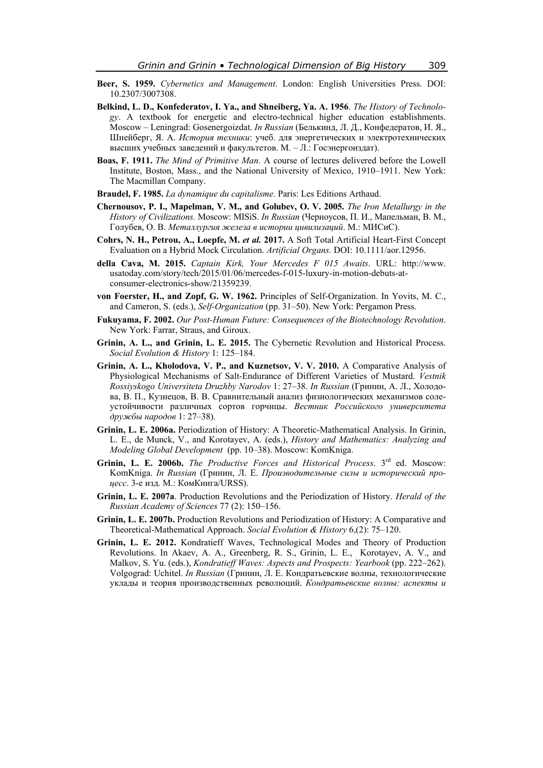- **Beer, S. 1959.** *Cybernetics and Management*. London: English Universities Press. DOI: 10.2307/3007308.
- **Belkind, L. D., Konfederatov, I. Ya., and Shneiberg, Ya. A. 1956**. *The History of Technology*. A textbook for energetic and electro-technical higher education establishments. Moscow – Leningrad: Gosenergoizdat. *In Russian* (Белькинд, Л. Д., Конфедератов, И. Я., Шнейберг, Я. А. *История техники*: учеб. для энергетических и электротехнических высших учебных заведений и факультетов. М. – Л.: Госэнергоиздат).
- **Boas, F. 1911.** *The Mind of Primitive Man.* A course of lectures delivered before the Lowell Institute, Boston, Mass., and the National University of Mexico, 1910–1911. New York: The Macmillan Company.
- **Braudel, F. 1985.** *La dynamique du capitalisme.* Paris: Les Editions Arthaud.
- **Chernousov, P. I., Mapelman, V. M., and Golubev, O. V. 2005.** *The Iron Metallurgy in the History of Civilizations.* Moscow: MISiS. *In Russian* (Черноусов, П. И., Мапельман, В. М., Голубев, О. В. *Металлургия железа в истории цивилизаций*. М.: МИСиС).
- **Cohrs, N. H., Petrou, A., Loepfe, M.** *et al.* **2017.** A Soft Total Artificial Heart-First Concept Evaluation on a Hybrid Mock Circulation. *Artificial Organs.* DOI: 10.1111/aor.12956.
- **della Cava, M. 2015.** *Captain Kirk, Your Mercedes F 015 Awaits*. URL: http://www. usatoday.com/story/tech/2015/01/06/mercedes-f-015-luxury-in-motion-debuts-atconsumer-electronics-show/21359239.
- **von Foerster, H., and Zopf, G. W. 1962.** Principles of Self-Organization. In Yovits, M. C., and Cameron, S. (eds.), *Self-Organization* (pp. 31–50). New York: Pergamon Press.
- **Fukuyama, F. 2002.** *Our Post-Human Future: Consequences of the Biotechnology Revolution*. New York: Farrar, Straus, and Giroux.
- **Grinin, A. L., and Grinin, L. E. 2015.** The Cybernetic Revolution and Historical Process. *Social Evolution & History* 1: 125–184.
- **Grinin, A. L., Kholodova, V. P., and Kuznetsov, V. V. 2010.** A Comparative Analysis of Physiological Mechanisms of Salt-Endurance of Different Varieties of Mustard. *Vestnik Rossiyskogo Universiteta Druzhby Narodov* 1: 27–38. *In Russian* (Гринин, А. Л., Холодова, В. П., Кузнецов, В. В. Сравнительный анализ физиологических механизмов солеустойчивости различных сортов горчицы. *Вестник Российского университета дружбы народов* 1: 27–38).
- **Grinin, L. E. 2006a.** Periodization of History: A Theoretic-Mathematical Analysis. In Grinin, L. E., de Munck, V., and Korotayev, A. (eds.), *History and Mathematics: Analyzing and Modeling Global Development* (pp. 10–38). Moscow: KomKniga.
- Grinin, L. E. 2006b. *The Productive Forces and Historical Process*. 3<sup>rd</sup> ed. Moscow: KomKniga. *In Russian* (Гринин, Л. Е. *Производительные силы и исторический процесс*. 3-е изд. М.: КомКнига/URSS).
- **Grinin, L. E. 2007a**. Production Revolutions and the Periodization of History. *Herald of the Russian Academy of Sciences* 77 (2): 150–156.
- **Grinin, L. E. 2007b.** Production Revolutions and Periodization of History: A Comparative and Theoretical-Mathematical Approach. *Social Evolution & History* 6,(2): 75–120.
- **Grinin, L. E. 2012.** Kondratieff Waves, Technological Modes and Theory of Production Revolutions. In Akaev, A. А., Greenberg, R. S., Grinin, L. E., Korotayev, A. V., and Malkov, S. Yu. (eds.), *Kondratieff Waves: Aspects and Prospects: Yearbook* (pp. 222–262). Volgograd: Uchitel. *In Russian* (Гринин, Л. Е. Кондратьевские волны, технологические уклады и теория производственных революций. *Кондратьевские волны: аспекты и*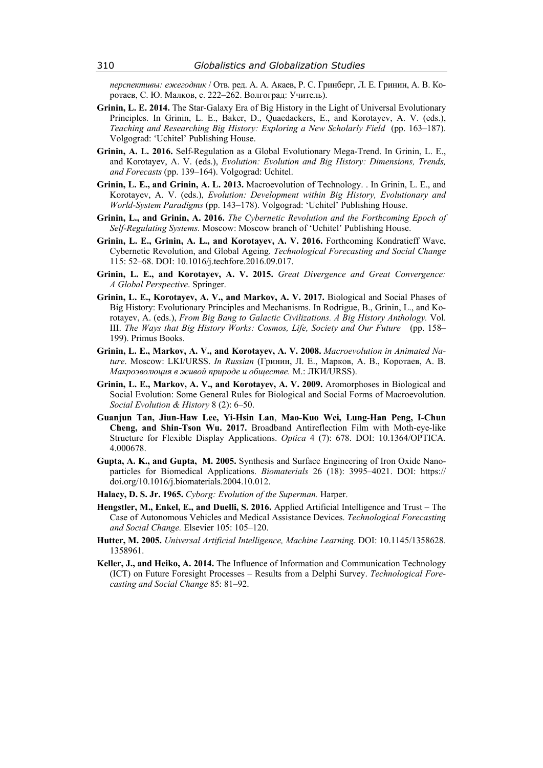*перспективы: ежегодник* / Отв. ред. А. А. Акаев, Р. С. Гринберг, Л. Е. Гринин, А. В. Коротаев, С. Ю. Малков, с. 222–262. Волгоград: Учитель).

- **Grinin, L. E. 2014.** The Star-Galaxy Era of Big History in the Light of Universal Evolutionary Principles. In Grinin, L. E., Baker, D., Quaedackers, E., and Korotayev, A. V. (eds.), *Teaching and Researching Big History: Exploring a New Scholarly Field* (pp. 163–187). Volgograd: 'Uchitel' Publishing House.
- **Grinin, A. L. 2016.** Self-Regulation as a Global Evolutionary Mega-Trend. In Grinin, L. E., and Korotayev, A. V. (eds.), *Evolution: Evolution and Big History: Dimensions, Trends, and Forecasts* (pp. 139–164). Volgograd: Uchitel.
- **Grinin, L. E., and Grinin, A. L. 2013.** Macroevolution of Technology. . In Grinin, L. E., and Korotayev, A. V. (eds.), *Evolution: Development within Big History, Evolutionary and World-System Paradigms* (pp. 143–178). Volgograd: 'Uchitel' Publishing House.
- **Grinin, L., and Grinin, A. 2016.** *The Cybernetic Revolution and the Forthcoming Epoch of Self-Regulating Systems.* Moscow: Moscow branch of 'Uchitel' Publishing House.
- **Grinin, L. E., Grinin, A. L., and Korotayev, A. V. 2016.** Forthcoming Kondratieff Wave, Cybernetic Revolution, and Global Ageing. *Technological Forecasting and Social Change* 115: 52–68. DOI: 10.1016/j.techfore.2016.09.017.
- **Grinin, L. E., and Korotayev, A. V. 2015.** *Great Divergence and Great Convergence: A Global Perspective*. Springer.
- **Grinin, L. E., Korotayev, A. V., and Markov, A. V. 2017.** Biological and Social Phases of Big History: Evolutionary Principles and Mechanisms. In Rodrigue, B., Grinin, L., and Korotayev, A. (eds.), *From Big Bang to Galactic Civilizations. A Big History Anthology.* Vol. III. *The Ways that Big History Works: Cosmos, Life, Society and Our Future* (pp. 158– 199). Primus Books.
- **Grinin, L. E., Markov, A. V., and Korotayev, A. V. 2008.** *Macroevolution in Animated Nature*. Moscow: LKI/URSS. *In Russian* (Гринин, Л. Е., Марков, А. В., Коротаев, А. В. *Макроэволюция в живой природе и обществе.* М.: ЛКИ/URSS).
- **Grinin, L. E., Markov, A. V., and Korotayev, A. V. 2009.** Aromorphoses in Biological and Social Evolution: Some General Rules for Biological and Social Forms of Macroevolution. *Social Evolution & History* 8 (2): 6–50.
- **Guanjun Tan, Jiun-Haw Lee, Yi-Hsin Lan**, **Mao-Kuo Wei, Lung-Han Peng, I-Chun Cheng, and Shin-Tson Wu. 2017.** Broadband Antireflection Film with Moth-eye-like Structure for Flexible Display Applications. *Optica* 4 (7): 678. DOI: 10.1364/OPTICA. 4.000678.
- **Gupta, A. K., and Gupta, M. 2005.** Synthesis and Surface Engineering of Iron Oxide Nanoparticles for Biomedical Applications. *Biomaterials* 26 (18): 3995–4021. DOI: https:// doi.org/10.1016/j.biomaterials.2004.10.012.
- **Halacy, D. S. Jr. 1965.** *Cyborg: Evolution of the Superman.* Harper.
- **Hengstler, M., Enkel, E., and Duelli, S. 2016.** Applied Artificial Intelligence and Trust The Case of Autonomous Vehicles and Medical Assistance Devices. *Technological Forecasting and Social Change.* Elsevier 105: 105–120.
- **Hutter, M. 2005.** *Universal Artificial Intelligence, Machine Learning.* DOI: 10.1145/1358628. 1358961.
- **Keller, J., and Heiko, A. 2014.** The Influence of Information and Communication Technology (ICT) on Future Foresight Processes – Results from a Delphi Survey. *Technological Forecasting and Social Change* 85: 81–92.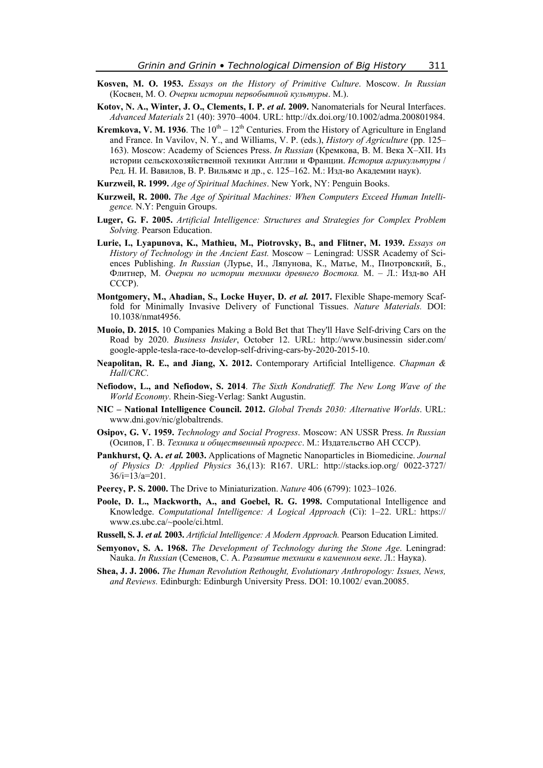- **Kosven, M. O. 1953.** *Essays on the History of Primitive Culture*. Moscow. *In Russian* (Косвен, М. О. *Очерки истории первобытной культуры*. М.).
- **Kotov, N. A., Winter, J. O., Clements, I. P. et al. 2009.** Nanomaterials for Neural Interfaces. *Advanced Materials* 21 (40): 3970–4004. URL: http://dx.doi.org/10.1002/adma.200801984.
- **Kremkova, V. M. 1936**. The  $10^{th} 12^{th}$  Centuries. From the History of Agriculture in England and France. In Vavilov, N. Y., and Williams, V. P. (eds.), *History of Agriculture* (pp. 125– 163). Moscow: Academy of Sciences Press. *In Russian* (Кремкова, В. М. Века X–XII. Из истории сельскохозяйственной техники Англии и Франции. *История агрикультуры* / Ред. Н. И. Вавилов, В. Р. Вильямс и др., с. 125–162. М.: Изд-во Академии наук).
- **Kurzweil, R. 1999.** *Age of Spiritual Machines*. New York, NY: Penguin Books.
- **Kurzweil, R. 2000.** *The Age of Spiritual Machines: When Computers Exceed Human Intelligence.* N.Y: Penguin Groups.
- **Luger, G. F. 2005.** *Artificial Intelligence: Structures and Strategies for Complex Problem Solving.* Pearson Education.
- **Lurie, I., Lyapunova, K., Mathieu, M., Piotrovsky, B., and Flitner, M. 1939.** *Essays on History of Technology in the Ancient East.* Moscow – Leningrad: USSR Academy of Sciences Publishing. *In Russian* (Лурье, И., Ляпунова, К., Матье, М., Пиотровский, Б., Флитнер, М. *Очерки по истории техники древнего Востока.* М. – Л.: Изд-во АН СССР).
- **Montgomery, M., Ahadian, S., Locke Huyer, D.** *et al.* **2017.** Flexible Shape-memory Scaffold for Minimally Invasive Delivery of Functional Tissues. *Nature Materials.* DOI: 10.1038/nmat4956.
- **Muoio, D. 2015.** 10 Companies Making a Bold Bet that They'll Have Self-driving Cars on the Road by 2020. *Business Insider*, October 12. URL: http://www.businessin sider.com/ google-apple-tesla-race-to-develop-self-driving-cars-by-2020-2015-10.
- **Neapolitan, R. E., and Jiang, X. 2012.** Contemporary Artificial Intelligence. *Chapman & Hall/CRC*.
- **Nefiodow, L., and Nefiodow, S. 2014**. *The Sixth Kondratieff. The New Long Wave of the World Economy*. Rhein-Sieg-Verlag: Sankt Augustin.
- **NIC National Intelligence Council. 2012.** *Global Trends 2030: Alternative Worlds*. URL: www.dni.gov/nic/globaltrends.
- **Osipov, G. V. 1959.** *Technology and Social Progress*. Moscow: AN USSR Press. *In Russian* (Осипов, Г. В. *Техника и общественный прогресс*. М.: Издательство АН СССР).
- **Pankhurst, Q. A.** *et al.* **2003.** Applications of Magnetic Nanoparticles in Biomedicine. *Journal of Physics D: Applied Physics* 36,(13): R167. URL: http://stacks.iop.org/ 0022-3727/ 36/i=13/a=201.
- **Peercy, P. S. 2000.** The Drive to Miniaturization. *Nature* 406 (6799): 1023–1026.
- **Poole, D. L., Mackworth, A., and Goebel, R. G. 1998.** Computational Intelligence and Knowledge. *Computational Intelligence: A Logical Approach* (Ci): 1–22. URL: https:// www.cs.ubc.ca/~poole/ci.html.
- **Russell, S. J.** *et al.* **2003.** *Artificial Intelligence: A Modern Approach.* Pearson Education Limited.
- **Semyonov, S. A. 1968.** *The Development of Technology during the Stone Age*. Leningrad: Nauka. *In Russian* (Семенов, С. А. *Развитие техники в каменном веке*. Л.: Наука).
- **Shea, J. J. 2006.** *The Human Revolution Rethought, Evolutionary Anthropology: Issues, News, and Reviews.* Edinburgh: Edinburgh University Press. DOI: 10.1002/ evan.20085.